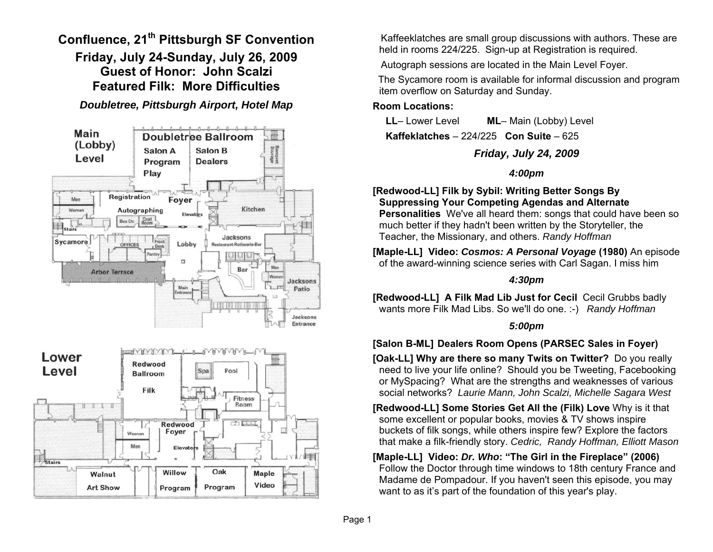**Confluence, 21th Pittsburgh SF Convention Friday, July 24-Sunday, July 26, 2009 Guest of Honor: John Scalzi Featured Filk: More Difficulties** 

*Doubletree, Pittsburgh Airport, Hotel Map* 



 Kaffeeklatches are small group discussions with authors. These are held in rooms 224/225. Sign-up at Registration is required.

Autograph sessions are located in the Main Level Foyer.

 The Sycamore room is available for informal discussion and program item overflow on Saturday and Sunday.

#### **Room Locations:**

**LL**– Lower Level **ML**– Main (Lobby) Level **Kaffeklatches** – 224/225 **Con Suite** – 625

# *Friday, July 24, 2009*

# *4:00pm*

**[Redwood-LL] Filk by Sybil: Writing Better Songs By Suppressing Your Competing Agendas and Alternate Personalities** We've all heard them: songs that could have been so much better if they hadn't been written by the Storyteller, the Teacher, the Missionary, and others. *Randy Hoffman* 

**[Maple-LL] Video:** *Cosmos: A Personal Voyage* **(1980)** An episode of the award-winning science series with Carl Sagan. I miss him

# *4:30pm*

**[Redwood-LL] A Filk Mad Lib Just for Cecil** Cecil Grubbs badly wants more Filk Mad Libs. So we'll do one. :-) *Randy Hoffman*

# *5:00pm*

# **[Salon B-ML] Dealers Room Opens (PARSEC Sales in Foyer)**

**[Oak-LL] Why are there so many Twits on Twitter?** Do you really need to live your life online? Should you be Tweeting, Facebooking or MySpacing? What are the strengths and weaknesses of various social networks? *Laurie Mann, John Scalzi, Michelle Sagara West* 

**[Redwood-LL] Some Stories Get All the (Filk) Love** Why is it that some excellent or popular books, movies & TV shows inspire buckets of filk songs, while others inspire few? Explore the factors that make a filk-friendly story. *Cedric, Randy Hoffman, Elliott Mason*

#### **[Maple-LL] Video:** *Dr. Who***: "The Girl in the Fireplace" (2006)**  Follow the Doctor through time windows to 18th century France and Madame de Pompadour. If you haven't seen this episode, you may want to as it's part of the foundation of this year's play.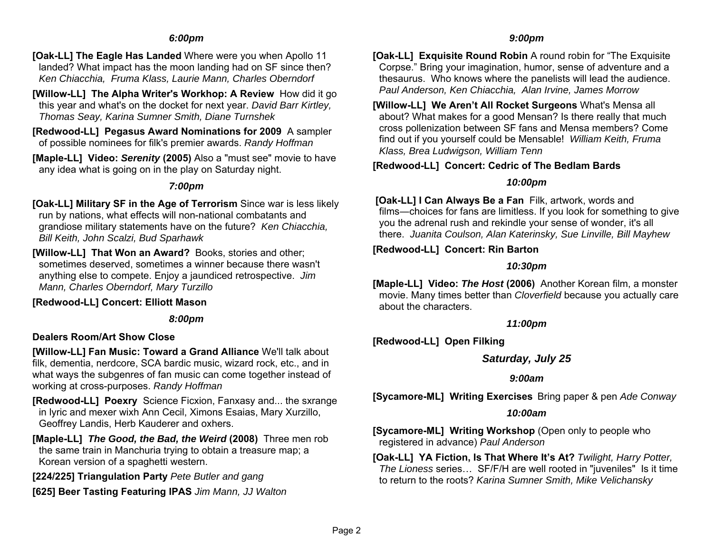#### *6:00pm*

- **[Oak-LL] The Eagle Has Landed** Where were you when Apollo 11 landed? What impact has the moon landing had on SF since then? *Ken Chiacchia, Fruma Klass, Laurie Mann, Charles Oberndorf*
- **[Willow-LL] The Alpha Writer's Workhop: A Review** How did it go this year and what's on the docket for next year. *David Barr Kirtley, Thomas Seay, Karina Sumner Smith, Diane Turnshek*
- **[Redwood-LL] Pegasus Award Nominations for 2009** A sampler of possible nominees for filk's premier awards. *Randy Hoffman*
- **[Maple-LL] Video:** *Serenity* **(2005)** Also a "must see" movie to have any idea what is going on in the play on Saturday night.

#### *7:00pm*

- **[Oak-LL] Military SF in the Age of Terrorism** Since war is less likely run by nations, what effects will non-national combatants and grandiose military statements have on the future? *Ken Chiacchia, Bill Keith, John Scalzi, Bud Sparhawk*
- **[Willow-LL] That Won an Award?** Books, stories and other; sometimes deserved, sometimes a winner because there wasn't anything else to compete. Enjoy a jaundiced retrospective. *Jim Mann, Charles Oberndorf, Mary Turzillo*

#### **[Redwood-LL] Concert: Elliott Mason**

#### *8:00pm*

### **Dealers Room/Art Show Close**

**[Willow-LL] Fan Music: Toward a Grand Alliance** We'll talk about filk, dementia, nerdcore, SCA bardic music, wizard rock, etc., and in what ways the subgenres of fan music can come together instead of working at cross-purposes. *Randy Hoffman* 

- **[Redwood-LL] Poexry** Science Ficxion, Fanxasy and... the sxrange in lyric and mexer wixh Ann Cecil, Ximons Esaias, Mary Xurzillo, Geoffrey Landis, Herb Kauderer and oxhers.
- **[Maple-LL]** *The Good, the Bad, the Weird* **(2008)** Three men rob the same train in Manchuria trying to obtain a treasure map; a Korean version of a spaghetti western.
- **[224/225] Triangulation Party** *Pete Butler and gang*
- **[625] Beer Tasting Featuring IPAS** *Jim Mann, JJ Walton*

#### *9:00pm*

- **[Oak-LL] Exquisite Round Robin** A round robin for "The Exquisite Corpse." Bring your imagination, humor, sense of adventure and a thesaurus. Who knows where the panelists will lead the audience. *Paul Anderson, Ken Chiacchia, Alan Irvine, James Morrow*
- **[Willow-LL] We Aren't All Rocket Surgeons** What's Mensa all about? What makes for a good Mensan? Is there really that much cross pollenization between SF fans and Mensa members? Come find out if you yourself could be Mensable! *William Keith, Fruma Klass, Brea Ludwigson, William Tenn*

### **[Redwood-LL] Concert: Cedric of The Bedlam Bards**

#### *10:00pm*

 **[Oak-LL] I Can Always Be a Fan** Filk, artwork, words and films ―choices for fans are limitless. If you look for something to give you the adrenal rush and rekindle your sense of wonder, it's all there. *Juanita Coulson, Alan Katerinsky, Sue Linville, Bill Mayhew*

### **[Redwood-LL] Concert: Rin Barton**

#### *10:30pm*

**[Maple-LL] Video:** *The Host* **(2006)** Another Korean film, a monster movie. Many times better than *Cloverfield* because you actually care about the characters.

#### *11:00pm*

**[Redwood-LL] Open Filking** 

# *Saturday, July 25*

### *9:00am*

**[Sycamore-ML] Writing Exercises** Bring paper & pen *Ade Conway* 

#### *10:00am*

**[Sycamore-ML] Writing Workshop** (Open only to people who registered in advance) *Paul Anderson*

**[Oak-LL] YA Fiction, Is That Where It's At?** *Twilight, Harry Potter, The Lioness* series… SF/F/H are well rooted in "juveniles" Is it time to return to the roots? *Karina Sumner Smith, Mike Velichansky*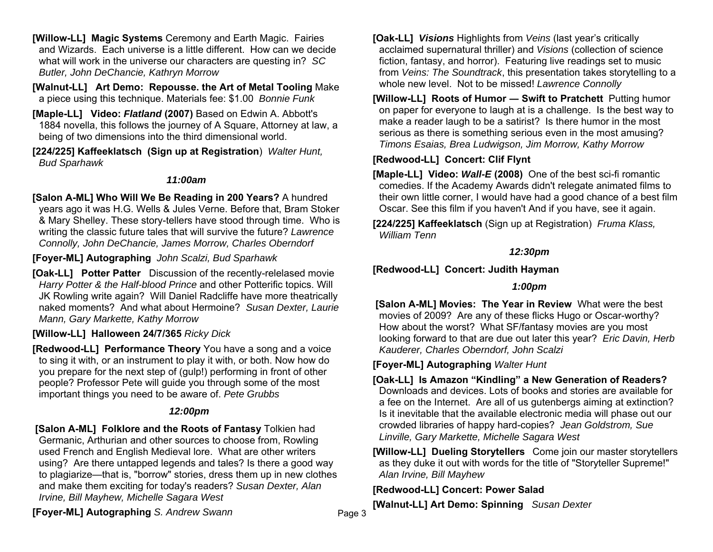**[Willow-LL] Magic Systems** Ceremony and Earth Magic. Fairies and Wizards. Each universe is a little different. How can we decide what will work in the universe our characters are questing in? *SC Butler, John DeChancie, Kathryn Morrow*

**[Walnut-LL] Art Demo: Repousse. the Art of Metal Tooling** Make a piece using this technique. Materials fee: \$1.00 *Bonnie Funk*

**[Maple-LL] Video:** *Flatland* **(2007)** Based on Edwin A. Abbott's 1884 novella, this follows the journey of A Square, Attorney at law, a being of two dimensions into the third dimensional world.

**[224/225] Kaffeeklatsch (Sign up at Registration**) *Walter Hunt, Bud Sparhawk* 

#### *11:00am*

**[Salon A-ML] Who Will We Be Reading in 200 Years?** A hundred years ago it was H.G. Wells & Jules Verne. Before that, Bram Stoker & Mary Shelley. These story-tellers have stood through time. Who is writing the classic future tales that will survive the future? *Lawrence Connolly, John DeChancie, James Morrow, Charles Oberndorf* 

**[Foyer-ML] Autographing** *John Scalzi, Bud Sparhawk*

**[Oak-LL] Potter Patter** Discussion of the recently-relelased movie *Harry Potter & the Half-blood Prince* and other Potterific topics. Will JK Rowling write again? Will Daniel Radcliffe have more theatrically naked moments? And what about Hermoine? *Susan Dexter, Laurie Mann, Gary Markette, Kathy Morrow*

### **[Willow-LL] Halloween 24/7/365** *Ricky Dick*

**[Redwood-LL] Performance Theory** You have a song and a voice to sing it with, or an instrument to play it with, or both. Now how do you prepare for the next step of (gulp!) performing in front of other people? Professor Pete will guide you through some of the most important things you need to be aware of. *Pete Grubbs*

### *12:00pm*

 **[Salon A-ML] Folklore and the Roots of Fantasy** Tolkien had Germanic, Arthurian and other sources to choose from, Rowling used French and English Medieval lore. What are other writers using? Are there untapped legends and tales? Is there a good way to plagiarize—that is, "borrow" stories, dress them up in new clothes and make them exciting for today's readers? *Susan Dexter, Alan Irvine, Bill Mayhew, Michelle Sagara West*

**[Oak-LL]** *Visions* Highlights from *Veins* (last year's critically acclaimed supernatural thriller) and *Visions* (collection of science fiction, fantasy, and horror). Featuring live readings set to music from *Veins: The Soundtrack*, this presentation takes storytelling to a whole new level. Not to be missed! *Lawrence Connolly*

**[Willow-LL] Roots of Humor ― Swift to Pratchett** Putting humor on paper for everyone to laugh at is a challenge. Is the best way to make a reader laugh to be a satirist? Is there humor in the most serious as there is something serious even in the most amusing? *Timons Esaias, Brea Ludwigson, Jim Morrow, Kathy Morrow* 

## **[Redwood-LL] Concert: Clif Flynt**

**[Maple-LL] Video:** *Wall-E* **(2008)** One of the best sci-fi romantic comedies. If the Academy Awards didn't relegate animated films to their own little corner, I would have had a good chance of a best film Oscar. See this film if you haven't And if you have, see it again.

**[224/225] Kaffeeklatsch** (Sign up at Registration) *Fruma Klass, William Tenn* 

#### *12:30pm*

# **[Redwood-LL] Concert: Judith Hayman**

### *1:00pm*

 **[Salon A-ML] Movies: The Year in Review** What were the best movies of 2009? Are any of these flicks Hugo or Oscar-worthy? How about the worst? What SF/fantasy movies are you most looking forward to that are due out later this year? *Eric Davin, Herb Kauderer, Charles Oberndorf, John Scalzi*

**[Foyer-ML] Autographing** *Walter Hunt* 

**[Oak-LL] Is Amazon "Kindling" a New Generation of Readers?**  Downloads and devices. Lots of books and stories are available for a fee on the Internet. Are all of us gutenbergs aiming at extinction? Is it inevitable that the available electronic media will phase out our crowded libraries of happy hard-copies? *Jean Goldstrom, Sue Linville, Gary Markette, Michelle Sagara West*

**[Willow-LL] Dueling Storytellers** Come join our master storytellers as they duke it out with words for the title of "Storyteller Supreme!" *Alan Irvine, Bill Mayhew*

## **[Redwood-LL] Concert: Power Salad**

**[Walnut-LL] Art Demo: Spinning** *Susan Dexter*

**[Foyer-ML] Autographing** *S. Andrew Swann*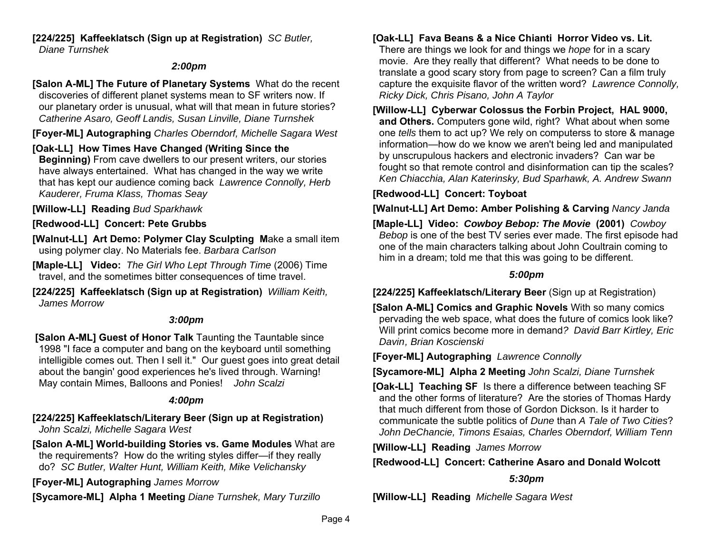**[224/225] Kaffeeklatsch (Sign up at Registration)** *SC Butler, Diane Turnshek* 

### *2:00pm*

**[Salon A-ML] The Future of Planetary Systems** What do the recent discoveries of different planet systems mean to SF writers now. If our planetary order is unusual, what will that mean in future stories? *Catherine Asaro, Geoff Landis, Susan Linville, Diane Turnshek*

**[Foyer-ML] Autographing** *Charles Oberndorf, Michelle Sagara West*

## **[Oak-LL] How Times Have Changed (Writing Since the**

**Beginning)** From cave dwellers to our present writers, our stories have always entertained. What has changed in the way we write that has kept our audience coming back *Lawrence Connolly, Herb Kauderer, Fruma Klass, Thomas Seay*

**[Willow-LL] Reading** *Bud Sparkhawk* 

# **[Redwood-LL] Concert: Pete Grubbs**

**[Walnut-LL] Art Demo: Polymer Clay Sculpting M**ake a small item using polymer clay. No Materials fee. *Barbara Carlson* 

**[Maple-LL] Video:** *The Girl Who Lept Through Time* (2006) Time travel, and the sometimes bitter consequences of time travel.

**[224/225] Kaffeeklatsch (Sign up at Registration)** *William Keith, James Morrow*

## *3:00pm*

 **[Salon A-ML] Guest of Honor Talk** Taunting the Tauntable since 1998 "I face a computer and bang on the keyboard until something intelligible comes out. Then I sell it." Our guest goes into great detail about the bangin' good experiences he's lived through. Warning! May contain Mimes, Balloons and Ponies! *John Scalzi*

## *4:00pm*

**[224/225] Kaffeeklatsch/Literary Beer (Sign up at Registration)**  *John Scalzi, Michelle Sagara West*

**[Salon A-ML] World-building Stories vs. Game Modules** What are the requirements? How do the writing styles differ—if they really do? *SC Butler, Walter Hunt, William Keith, Mike Velichansky* 

**[Foyer-ML] Autographing** *James Morrow*

**[Sycamore-ML] Alpha 1 Meeting** *Diane Turnshek, Mary Turzillo* 

## **[Oak-LL] Fava Beans & a Nice Chianti Horror Video vs. Lit.**

There are things we look for and things we *hope* for in a scary movie. Are they really that different? What needs to be done to translate a good scary story from page to screen? Can a film truly capture the exquisite flavor of the written word? *Lawrence Connolly, Ricky Dick, Chris Pisano, John A Taylor*

**[Willow-LL] Cyberwar Colossus the Forbin Project, HAL 9000, and Others.** Computers gone wild, right? What about when some one *tells* them to act up? We rely on computerss to store & manage information—how do we know we aren't being led and manipulated by unscrupulous hackers and electronic invaders? Can war be fought so that remote control and disinformation can tip the scales? *Ken Chiacchia, Alan Katerinsky, Bud Sparhawk, A. Andrew Swann* 

## **[Redwood-LL] Concert: Toyboat**

**[Walnut-LL] Art Demo: Amber Polishing & Carving** *Nancy Janda*

**[Maple-LL] Video:** *Cowboy Bebop: The Movie* **(2001)** *Cowboy Bebop* is one of the best TV series ever made. The first episode had one of the main characters talking about John Coultrain coming to him in a dream; told me that this was going to be different.

## *5:00pm*

**[224/225] Kaffeeklatsch/Literary Beer** (Sign up at Registration)

**[Salon A-ML] Comics and Graphic Novels** With so many comics pervading the web space, what does the future of comics look like? Will print comics become more in demand*? David Barr Kirtley, Eric Davin , Brian Koscienski* 

**[Foyer-ML] Autographing** *Lawrence Connolly*

**[Sycamore-ML] Alpha 2 Meeting** *John Scalzi, Diane Turnshek* 

**[Oak-LL] Teaching SF** Is there a difference between teaching SF and the other forms of literature? Are the stories of Thomas Hardy that much different from those of Gordon Dickson. Is it harder to communicate the subtle politics of *Dune* than *A Tale of Two Cities*? *John DeChancie, Timons Esaias, Charles Oberndorf, William Tenn*

**[Willow-LL] Reading** *James Morrow* 

# **[Redwood-LL] Concert: Catherine Asaro and Donald Wolcott**

# *5:30pm*

**[Willow-LL] Reading** *Michelle Sagara West*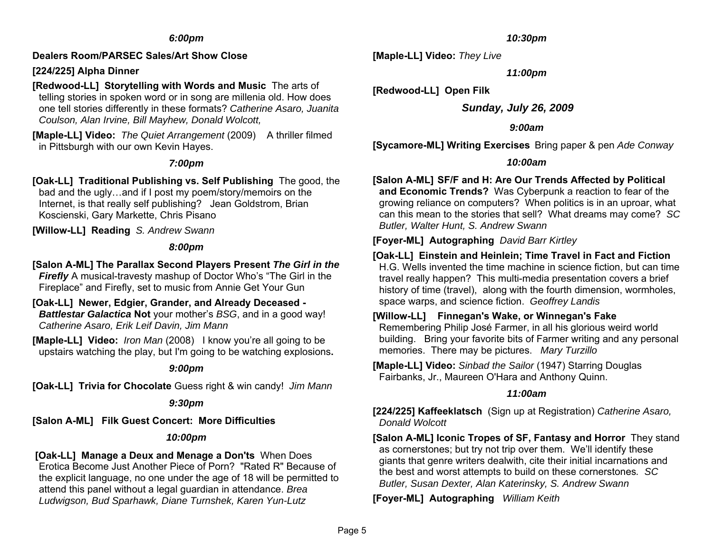#### *6:00pm*

#### **Dealers Room/PARSEC Sales/Art Show Close**

### **[224/225] Alpha Dinner**

### **[Redwood-LL] Storytelling with Words and Music** The arts of

telling stories in spoken word or in song are millenia old. How does one tell stories differently in these formats? *Catherine Asaro, Juanita Coulson, Alan Irvine, Bill Mayhew, Donald Wolcott,*

**[Maple-LL] Video:** *The Quiet Arrangement* (2009) A thriller filmed in Pittsburgh with our own Kevin Hayes.

#### *7:00pm*

**[Oak-LL] Traditional Publishing vs. Self Publishing** The good, the bad and the ugly…and if I post my poem/story/memoirs on the Internet, is that really self publishing? Jean Goldstrom, Brian Koscienski, Gary Markette, Chris Pisano

**[Willow-LL] Reading** *S. Andrew Swann*

#### *8:00pm*

#### **[Salon A-ML] The Parallax Second Players Present** *The Girl in the*

*Firefly* A musical-travesty mashup of Doctor Who's "The Girl in the Fireplace" and Firefly, set to music from Annie Get Your Gun

**[Oak-LL] Newer, Edgier, Grander, and Already Deceased -**  *Battlestar Galactica* **Not** your mother's *BSG*, and in a good way! *Catherine Asaro, Erik Leif Davin, Jim Mann*

**[Maple-LL] Video:** *Iron Man* (2008) I know you're all going to be upstairs watching the play, but I'm going to be watching explosions**.** 

#### *9:00pm*

**[Oak-LL] Trivia for Chocolate** Guess right & win candy! *Jim Mann*

#### *9:30pm*

**[Salon A-ML] Filk Guest Concert: More Difficulties** 

#### *10:00pm*

#### **[Oak-LL] Manage a Deux and Menage a Don'ts** When Does Erotica Become Just Another Piece of Porn? "Rated R" Because of the explicit language, no one under the age of 18 will be permitted to attend this panel without a legal guardian in attendance. *Brea Ludwigson, Bud Sparhawk, Diane Turnshek, Karen Yun-Lutz*

#### *10:30pm*

**[Maple-LL] Video:** *They Live*

*11:00pm* 

**[Redwood-LL] Open Filk** 

*Sunday, July 26, 2009* 

#### *9:00am*

**[Sycamore-ML] Writing Exercises** Bring paper & pen *Ade Conway* 

#### *10:00am*

## **[Salon A-ML] SF/F and H: Are Our Trends Affected by Political**

**and Economic Trends?** Was Cyberpunk a reaction to fear of the growing reliance on computers? When politics is in an uproar, what can this mean to the stories that sell? What dreams may come? *SC Butler, Walter Hunt, S. Andrew Swann* 

### **[Foyer-ML] Autographing** *David Barr Kirtley*

**[Oak-LL] Einstein and Heinlein; Time Travel in Fact and Fiction**  H.G. Wells invented the time machine in science fiction, but can time travel really happen? This multi-media presentation covers a brief history of time (travel), along with the fourth dimension, wormholes, space warps, and science fiction. *Geoffrey Landis*

### **[Willow-LL] Finnegan's Wake, or Winnegan's Fake**

Remembering Philip José Farmer, in all his glorious weird world building. Bring your favorite bits of Farmer writing and any personal memories. There may be pictures. *Mary Turzillo* 

**[Maple-LL] Video:** *Sinbad the Sailor* (1947) Starring Douglas Fairbanks, Jr., Maureen O'Hara and Anthony Quinn.

### *11:00am*

**[224/225] Kaffeeklatsch** (Sign up at Registration) *Catherine Asaro, Donald Wolcott* 

**[Salon A-ML] Iconic Tropes of SF, Fantasy and Horror** They stand as cornerstones; but try not trip over them. We'll identify these giants that genre writers dealwith, cite their initial incarnations and the best and worst attempts to build on these cornerstones*. SC Butler, Susan Dexter, Alan Katerinsky, S. Andrew Swann* 

**[Foyer-ML] Autographing** *William Keith*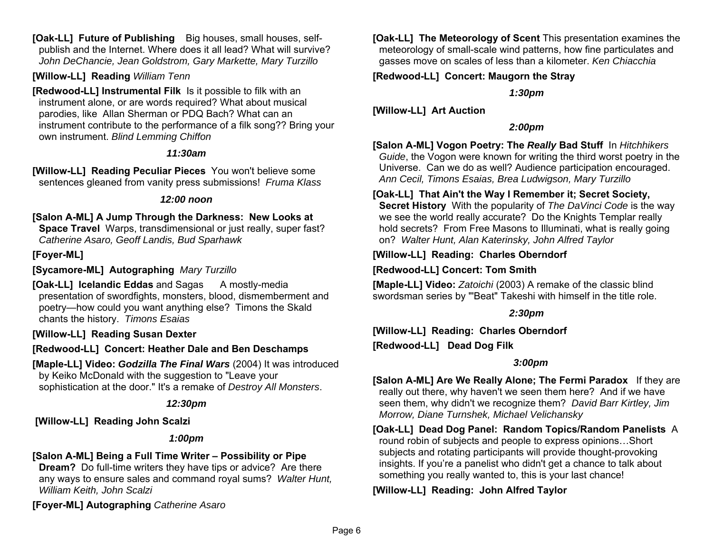**[Oak-LL] Future of Publishing** Big houses, small houses, selfpublish and the Internet. Where does it all lead? What will survive? *John DeChancie, Jean Goldstrom, Gary Markette, Mary Turzillo* 

**[Willow-LL] Reading** *William Tenn* 

**[Redwood-LL] Instrumental Filk** Is it possible to filk with an instrument alone, or are words required? What about musical parodies, like Allan Sherman or PDQ Bach? What can an instrument contribute to the performance of a filk song?? Bring your own instrument. *Blind Lemming Chiffon*

### *11:30am*

**[Willow-LL] Reading Peculiar Pieces** You won't believe some sentences gleaned from vanity press submissions! *Fruma Klass*

### *12:00 noon*

**[Salon A-ML] A Jump Through the Darkness: New Looks at Space Travel** Warps, transdimensional or just really, super fast? *Catherine Asaro, Geoff Landis, Bud Sparhawk*

## **[Foyer-ML]**

**[Sycamore-ML] Autographing** *Mary Turzillo* 

**[Oak-LL] Icelandic Eddas and Sagas A mostly-media** presentation of swordfights, monsters, blood, dismemberment and poetry—how could you want anything else? Timons the Skald chants the history. *Timons Esaias*

### **[Willow-LL] Reading Susan Dexter**

**[Redwood-LL] Concert: Heather Dale and Ben Deschamps** 

**[Maple-LL] Video:** *Godzilla The Final Wars* (2004) It was introduced by Keiko McDonald with the suggestion to "Leave your sophistication at the door." It's a remake of *Destroy All Monsters*.

## *12:30pm*

 **[Willow-LL] Reading John Scalzi**

## *1:00pm*

# **[Salon A-ML] Being a Full Time Writer – Possibility or Pipe**

**Dream?** Do full-time writers they have tips or advice? Are there any ways to ensure sales and command royal sums? *Walter Hunt, William Keith, John Scalzi*

**[Foyer-ML] Autographing** *Catherine Asaro*

**[Oak-LL] The Meteorology of Scent** This presentation examines the meteorology of small-scale wind patterns, how fine particulates and gasses move on scales of less than a kilometer. *Ken Chiacchia*

# **[Redwood-LL] Concert: Maugorn the Stray**

*1:30pm* 

**[Willow-LL] Art Auction**

# *2:00pm*

**[Salon A-ML] Vogon Poetry: The** *Really* **Bad Stuff** In *Hitchhikers Guide*, the Vogon were known for writing the third worst poetry in the Universe. Can we do as well? Audience participation encouraged. *Ann Cecil, Timons Esaias, Brea Ludwigson, Mary Turzillo*

## **[Oak-LL] That Ain't the Way I Remember it; Secret Society,**

**Secret History** With the popularity of *The DaVinci Code* is the way we see the world really accurate? Do the Knights Templar really hold secrets? From Free Masons to Illuminati, what is really going on? *Walter Hunt, Alan Katerinsky, John Alfred Taylor* 

## **[Willow-LL] Reading: Charles Oberndorf**

**[Redwood-LL] Concert: Tom Smith** 

**[Maple-LL] Video:** *Zatoichi* (2003) A remake of the classic blind swordsman series by "'Beat" Takeshi with himself in the title role.

### *2:30pm*

**[Willow-LL] Reading: Charles Oberndorf [Redwood-LL] Dead Dog Filk**

## *3:00pm*

**[Salon A-ML] Are We Really Alone; The Fermi Paradox** If they are really out there, why haven't we seen them here? And if we have seen them, why didn't we recognize them? *David Barr Kirtley, Jim Morrow, Diane Turnshek, Michael Velichansky* 

**[Oak-LL] Dead Dog Panel: Random Topics/Random Panelists** A round robin of subjects and people to express opinions…Short subjects and rotating participants will provide thought-provoking insights. If you're a panelist who didn't get a chance to talk about something you really wanted to, this is your last chance!

# **[Willow-LL] Reading: John Alfred Taylor**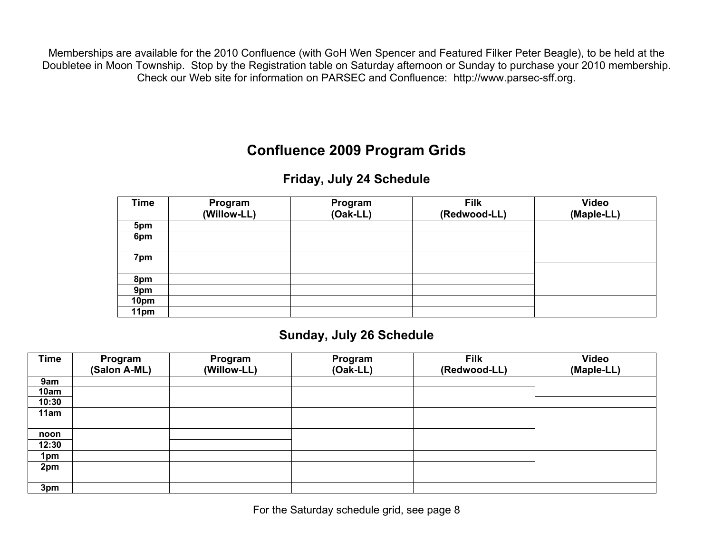Memberships are available for the 2010 Confluence (with GoH Wen Spencer and Featured Filker Peter Beagle), to be held at the Doubletee in Moon Township. Stop by the Registration table on Saturday afternoon or Sunday to purchase your 2010 membership. Check our Web site for information on PARSEC and Confluence: http://www.parsec-sff.org.

# **Confluence 2009 Program Grids**

# **Friday, July 24 Schedule**

| <b>Time</b> | Program<br>(Willow-LL) | Program<br>(Oak-LL) | <b>Filk</b><br>(Redwood-LL) | Video<br>(Maple-LL) |
|-------------|------------------------|---------------------|-----------------------------|---------------------|
| 5pm         |                        |                     |                             |                     |
| 6pm         |                        |                     |                             |                     |
| 7pm         |                        |                     |                             |                     |
| 8pm         |                        |                     |                             |                     |
| 9pm         |                        |                     |                             |                     |
| 10pm        |                        |                     |                             |                     |
| 11pm        |                        |                     |                             |                     |

# **Sunday, July 26 Schedule**

| <b>Time</b> | Program<br>(Salon A-ML) | Program<br>(Willow-LL) | Program<br>$(Oak-LL)$ | <b>Filk</b><br>(Redwood-LL) | Video<br>(Maple-LL) |
|-------------|-------------------------|------------------------|-----------------------|-----------------------------|---------------------|
| 9am         |                         |                        |                       |                             |                     |
| 10am        |                         |                        |                       |                             |                     |
| 10:30       |                         |                        |                       |                             |                     |
| 11am        |                         |                        |                       |                             |                     |
|             |                         |                        |                       |                             |                     |
| noon        |                         |                        |                       |                             |                     |
| 12:30       |                         |                        |                       |                             |                     |
| 1pm         |                         |                        |                       |                             |                     |
| 2pm         |                         |                        |                       |                             |                     |
|             |                         |                        |                       |                             |                     |
| 3pm         |                         |                        |                       |                             |                     |